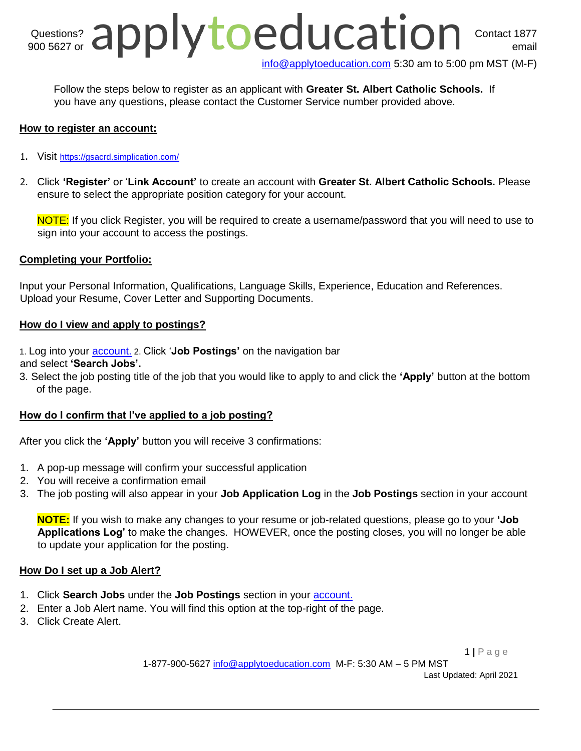# Questions? Contact 1877 900 5627 or  $\mathbf{C}$   $\mathbf{C}$   $\mathbf{C}$   $\mathbf{C}$   $\mathbf{C}$   $\mathbf{C}$   $\mathbf{C}$   $\mathbf{C}$   $\mathbf{C}$   $\mathbf{C}$   $\mathbf{C}$   $\mathbf{C}$   $\mathbf{C}$   $\mathbf{C}$   $\mathbf{C}$   $\mathbf{C}$   $\mathbf{C}$   $\mathbf{C}$   $\mathbf{C}$   $\mathbf{C}$   $\mathbf{C}$   $\mathbf{C}$   $\mathbf{C}$   $\$

info@applytoeducation.com 5:30 am to 5:00 pm MST (M-F)

Follow the steps below to register as an applicant with **[Greater St. Albert Catholic Schools.](https://gsacrd.simplication.com/WLSBLogin.aspx)** If you have any questions, please contact the Customer Service number provided above.

# **How to register an account:**

- 1. Visit <https://gsacrd.simplication.com/>
- 2. Click **'Register'** or '**Link Account'** to create an account with **[Greater St. Albert Catholic Schools.](https://gsacrd.simplication.com/WLSBLogin.aspx)** Please ensure to select the appropriate position category for your account.

NOTE: If you click Register, you will be required to create a username/password that you will need to use to sign into your account to access the postings.

#### **Completing your Portfolio:**

Input your Personal Information, Qualifications, Language Skills, Experience, Education and References. Upload your Resume, Cover Letter and Supporting Documents.

#### **How do I view and apply to postings?**

1. Log into your [account.](https://gsacrd.simplication.com/WLSBLogin.aspx) 2. Click '**Job Postings'** on the navigation bar

- and select **'Search Jobs'.**
- 3. Select the job posting title of the job that you would like to apply to and click the **'Apply'** button at the bottom of the page.

# **How do I confirm that I've applied to a job posting?**

After you click the **'Apply'** button you will receive 3 confirmations:

- 1. A pop-up message will confirm your successful application
- 2. You will receive a confirmation email
- 3. The job posting will also appear in your **Job Application Log** in the **Job Postings** section in your account

**NOTE:** If you wish to make any changes to your resume or job-related questions, please go to your **'Job Applications Log'** to make the changes. HOWEVER, once the posting closes, you will no longer be able to update your application for the posting.

# **How Do I set up a Job Alert?**

- 1. Click **Search Jobs** under the **Job Postings** section in your [account.](https://gsacrd.simplication.com/WLSBLogin.aspx)
- 2. Enter a Job Alert name. You will find this option at the top-right of the page.
- 3. Click Create Alert.

1 **|** P a g e

1-877-900-5627 info@applytoeducation.com M-F: 5:30 AM – 5 PM MST

Last Updated: April 2021